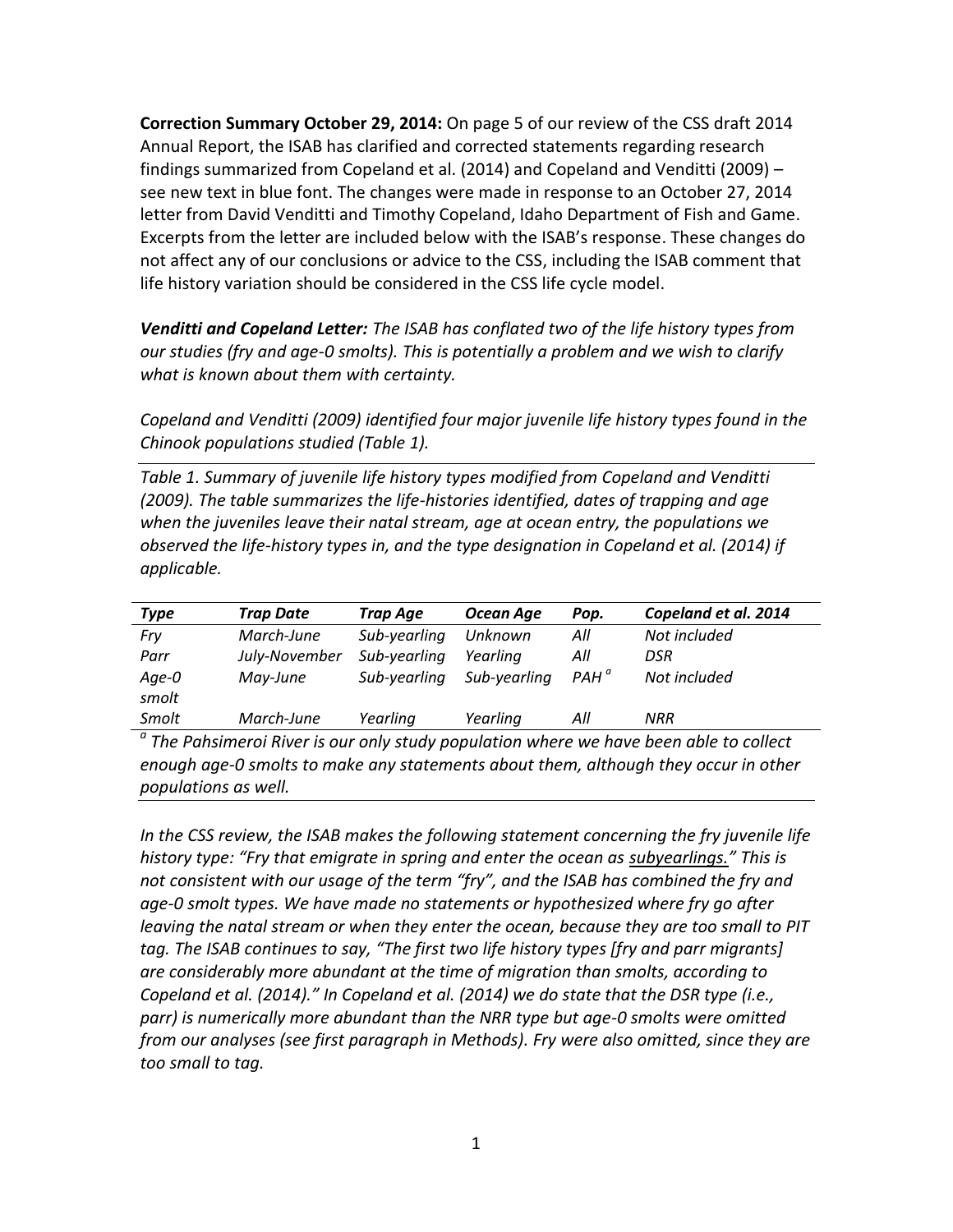**Correction Summary October 29, 2014:** On page 5 of our review of the CSS draft 2014 Annual Report, the ISAB has clarified and corrected statements regarding research findings summarized from Copeland et al. (2014) and Copeland and Venditti (2009) – see new text in blue font. The changes were made in response to an October 27, 2014 letter from David Venditti and Timothy Copeland, Idaho Department of Fish and Game. Excerpts from the letter are included below with the ISAB's response. These changes do not affect any of our conclusions or advice to the CSS, including the ISAB comment that life history variation should be considered in the CSS life cycle model.

*Venditti and Copeland Letter: The ISAB has conflated two of the life history types from our studies (fry and age-0 smolts). This is potentially a problem and we wish to clarify what is known about them with certainty.*

*Copeland and Venditti (2009) identified four major juvenile life history types found in the Chinook populations studied (Table 1).*

*Table 1. Summary of juvenile life history types modified from Copeland and Venditti (2009). The table summarizes the life-histories identified, dates of trapping and age when the juveniles leave their natal stream, age at ocean entry, the populations we observed the life-history types in, and the type designation in Copeland et al. (2014) if applicable.*

| <b>Type</b>                                                                                      | <b>Trap Date</b> | Trap Age     | Ocean Age    | Pop.           | Copeland et al. 2014 |
|--------------------------------------------------------------------------------------------------|------------------|--------------|--------------|----------------|----------------------|
| Fry                                                                                              | March-June       | Sub-yearling | Unknown      | All            | Not included         |
| Parr                                                                                             | July-November    | Sub-yearling | Yearlina     | All            | DSR                  |
| Age-0                                                                                            | May-June         | Sub-yearling | Sub-yearling | $PAH^{\alpha}$ | Not included         |
| smolt                                                                                            |                  |              |              |                |                      |
| Smolt                                                                                            | March-June       | Yearling     | Yearling     | ΑII            | NRR                  |
| $^{\alpha}$ The Dabsimeral Piver is our only study population where we have been able to sollect |                  |              |              |                |                      |

*The Pahsimeroi River is our only study population where we have been able to collect enough age-0 smolts to make any statements about them, although they occur in other populations as well.*

In the CSS review, the ISAB makes the following statement concerning the fry juvenile life *history type: "Fry that emigrate in spring and enter the ocean as subyearlings." This is not consistent with our usage of the term "fry", and the ISAB has combined the fry and age-0 smolt types. We have made no statements or hypothesized where fry go after leaving the natal stream or when they enter the ocean, because they are too small to PIT tag. The ISAB continues to say, "The first two life history types [fry and parr migrants] are considerably more abundant at the time of migration than smolts, according to Copeland et al. (2014)." In Copeland et al. (2014) we do state that the DSR type (i.e., parr) is numerically more abundant than the NRR type but age-0 smolts were omitted from our analyses (see first paragraph in Methods). Fry were also omitted, since they are too small to tag.*